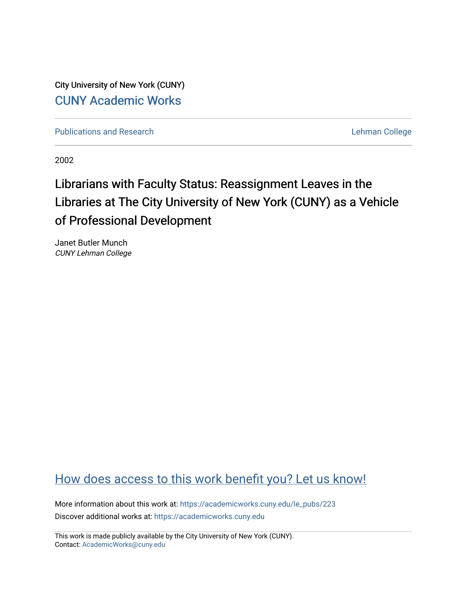City University of New York (CUNY) [CUNY Academic Works](https://academicworks.cuny.edu/) 

[Publications and Research](https://academicworks.cuny.edu/le_pubs) **Lehman College** 

2002

# Librarians with Faculty Status: Reassignment Leaves in the Libraries at The City University of New York (CUNY) as a Vehicle of Professional Development

Janet Butler Munch CUNY Lehman College

# [How does access to this work benefit you? Let us know!](http://ols.cuny.edu/academicworks/?ref=https://academicworks.cuny.edu/le_pubs/223)

More information about this work at: [https://academicworks.cuny.edu/le\\_pubs/223](https://academicworks.cuny.edu/le_pubs/223) Discover additional works at: [https://academicworks.cuny.edu](https://academicworks.cuny.edu/?)

This work is made publicly available by the City University of New York (CUNY). Contact: [AcademicWorks@cuny.edu](mailto:AcademicWorks@cuny.edu)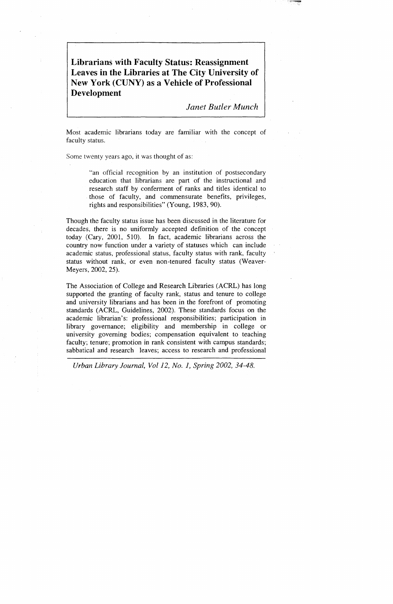**Librarians with Faculty Status: Reassignment Leaves in the Libraries at The City University of New York (CUNY) as a Vehicle of Professional Development** 

*Janet Butler Munch* 

Most academic librarians today are familiar with the concept of faculty status.

Some twenty years ago, it was thought of as:

"an official recognition by an institution of postsecondary education that librarians are part of the instructional and research staff by conferment of ranks and titles identical to . those of faculty, and commensurate benefits, privileges, rights and responsibilities" (Young, 1983, 90).

Though the faculty status issue has been discussed in the literature for decades, there is no uniformly accepted definition of the concept today (Cary, 2001, 510). In fact, academic librarians across the country now function under a variety of statuses which can include academic status, professional status, faculty status with rank, faculty status without rank, or even non-tenured faculty status (Weaver-Meyers, 2002, 25).

The Association of College and Research Libraries (ACRL) has long supported the granting of faculty rank, status and tenure to college and university librarians and has been in the forefront of promoting standards (ACRL, Guidelines, 2002). These standards focus on the academic librarian's: professional responsibilities; participation in library governance; eligibility and membership in college or university governing bodies; compensation equivalent to teaching faculty; tenure; promotion in rank consistent with campus standards; sabbatical and research leaves; access to research and professional

*Urban Library Journal, Vol12, No. 1, Spring 2002, 34-48.* 

~··~-:-·~ ·'··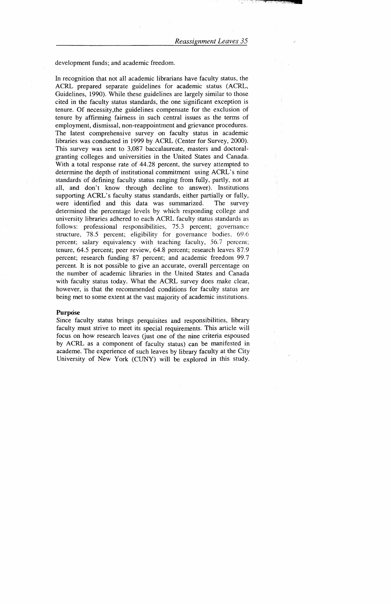development funds; and academic freedom.

In recognition that not all academic librarians have faculty status, the ACRL prepared separate guidelines for academic status (ACRL, Guidelines, 1990). While these guidelines are largely similar to those cited in the faculty status standards, the one significant exception is tenure. Of necessity,the guidelines compensate for the exclusion of tenure by affirming fairness in such central issues as the terms of employment, dismissal, non-reappointment and grievance procedures. The latest comprehensive survey on faculty status in academic libraries was conducted in 1999 by ACRL (Center for Survey, 2000). This survey was sent to 3,087 baccalaureate, masters and doctoralgranting colleges and universities in the United States and Canada. With a total response rate of 44.28 percent, the survey attempted to determine the depth of institutional commitment using ACRL's nine standards of defining faculty status ranging from fully, partly, not at all, and don't know through decline to answer). Institutions supporting ACRL's faculty status standards, either partially or fully, were identified and this data was summarized. The survey determined the percentage levels by which responding college and university libraries adhered to each ACRL faculty status standards as follows: professional responsibilities, 75.3 percent; governance structure, 78.5 percent; eligibility for governance bodies, 69.6 percent; salary equivalency with teaching faculty, 56.7 percent; tenure, 64.5 percent; peer review, 64.8 percent; research leaves 87.9 percent; research funding 87 percent; and academic freedom 99.7 percent. It is not possible to give an accurate, overall percentage on the number of academic libraries in the United States and Canada with faculty status today. What the ACRL survey does make clear, however, is that the recommended conditions for faculty status are being met to some extent at the vast majority of academic institutions.

Since faculty status brings perquisites and responsibilities, library faculty must strive to meet its special requirements. This article will focus on how research leaves (just one of the nine criteria espoused by ACRL as a component of faculty status) can be manifested in academe. The experience of such leaves by library faculty at the City University of New York (CUNY) will be explored in this study.

#### **Purpose**

.·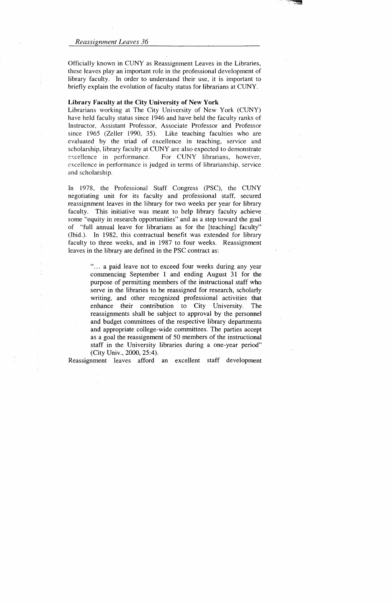Officially known in CUNY as Reassignment Leaves in the Libraries, these leaves play an 'important role in the professional development of library faculty. In order to understand their use, it is important to briefly explain the evolution of faculty status for librarians at CUNY.

#### Library Faculty at the City University of New York

Librarians working at The City University of New York (CUNY) have held faculty status since 1946 and have held the faculty ranks of Instructor, Assistant Professor, Associate Professor and Professor since 1965 (Zeller 1990, 35). Like teaching faculties who are evaluated by the triad of excellence in teaching, service and scholarship, library faculty at CUNY are also expected to demonstrate excellence in performance. For CUNY librarians, however, excellence in performance is judged in terms of librarianship, service and scholarship.

> "... a paid leave not to exceed four weeks during any year commencing September 1 and ending August 31 for the purpose of permitting members of the instructional staff who serve in the libraries to be reassigned for research, scholarly writing, and other recognized professional activities that enhance their contribution to City University. The reassignments shall be subject to approval by the personnel and budget committees of the respective library departments and appropriate college-wide committees. The parties accept as a goal the reassignment of 50 members of the instructional staff in the University libraries during a one-year period" (City Univ., 2000, 25:4).

In 1978, the Professional Staff Congress (PSC), the CUNY negotiating unit for its faculty and professional staff, secured reassignment leaves in the library for two weeks per year for library faculty. This initiative was meant to help library faculty achieve some "equity in research opportunities" and as a step toward the goal of "full annual leave for librarians as for the [teaching] faculty" (Ibid.). In 1982, this contractual benefit was extended for library faculty to three weeks, and in 1987 to four weeks. Reassignment leaves in the library are defined in the PSC contract as:

Reassignment leaves afford an excellent staff development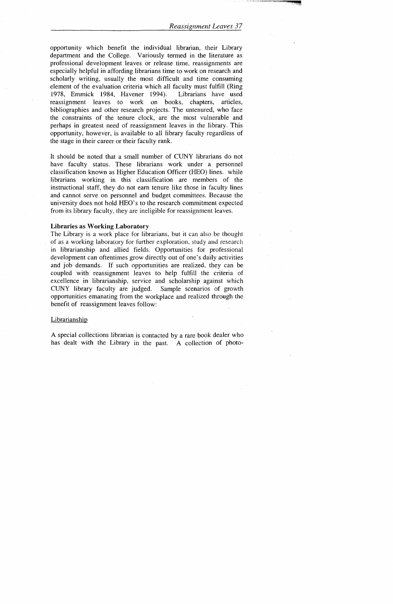opportunity which benefit the individual librarian, their Library department and the College. Variously termed in the literature as professional development leaves or release time, reassignments are especially helpful in affording librarians time to work on research and scholarly writing, usually the most difficult and time consuming element of the evaluation criteria which all faculty must fulfill (Ring 1978, Emmick 1984, Havener 1994). Librarians have used reassignment leaves to work on books, chapters, articles, bibliographies and other research projects. The untenured, who face the constraints of the tenure clock, are the most vulnerable and perhaps in greatest need of reassignment leaves in the library. This opportunity, however, is available to all library faculty regardless of the stage in their career or their faculty rank.

A special collections librarian is contacted by a rare book dealer who has dealt with the Library in the past. A collection of photo-

It should be noted that a small number of CUNY librarians do not have faculty status. These librarians work under a personnel classification known as Higher Education Officer (HEO) lines. while librarians working in this classification are members of the instructional staff, they do not earn tenure like those in faculty lines and cannot serve on personnel and budget committees. Because the university does not hold HEO's to the research commitment expected from its library faculty, they are ineligible for reassignment leaves.

### **Libraries as Working Laboratory**

The Library is a work place for librarians, but it can also be thought of as a working laboratory for further exploration, study and research in librarianship and allied fields. Opportunities for professional development can oftentimes grow directly out of one's daily activities and job demands. If such opportunities are realized, they can be coupled with reassignment leaves to help fulfill the criteria of excellence in librarianship, service and scholarship against which CUNY library faculty are judged. Sample scenarios of growth opportunities emanating from the workplace and realized through the benefit of reassignment leaves follow:

#### Librarian ship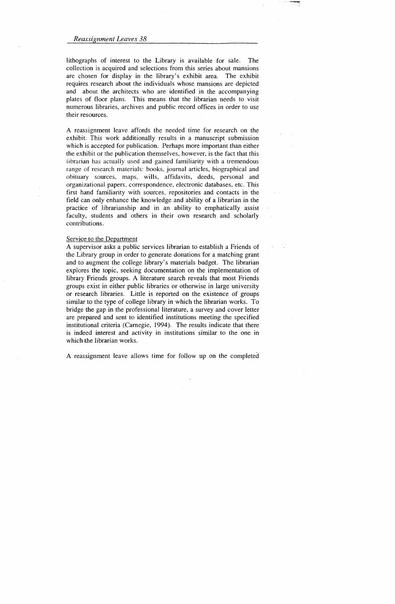lithographs of interest to the Library is available for sale. The collection is acquired and selections from this series about mansions are chosen for display in the library's exhibit area. The exhibit requires research about the individuals whose mansions are depicted and about the architects who are identified in the accompanying plates of floor plans. This means that the librarian needs to visit numerous libraries, archives and public record offices in order to use their resources.

A reassignment leave affords the needed time for research on the exhibit. This work additionally results in a manuscript submission which is accepted for publication. Perhaps more important than either the exhibit or the publication themselves, however, is the fact that this librarian has actually used and gained familiarity with a tremendous range of research materials: books, journal articles, biographical and obituary sources, maps, wills, affidavits, deeds, personal and organizational papers, correspondence, electronic databases, etc. This first hand familiarity with sources, repositories and contacts in the field can only enhance the knowledge and ability of a librarian in the practice of librarianship and in an ability to emphatically assist faculty, students and others in their own research and scholarly contributions.

#### Service to the Department

A supervisor asks a public services librarian to establish a Friends of the Library group in order to generate donations for a matching grant and to augment the college library's materials budget. The librarian explores the topic, seeking documentation on the implementation of library Friends groups. A literature search reveals that most Friends groups exist in either public libraries or otherwise in large university or research libraries. Little is reported on the existence of groups similar to the type of college library in which the librarian works. To bridge the gap in the professional literature, a survey and cover letter are prepared and sent to identified institutions meeting the specified institutional criteria (Carnegie, 1994). The results indicate that there is indeed interest and activity in institutions similar to the one in which the librarian works.

A reassignment leave allows time for follow up on the completed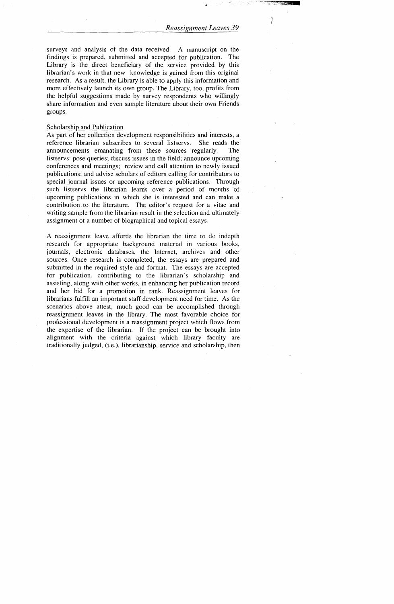$\mathcal{O}_1$  $\iota$ 

surveys and analysis of the data received. A manuscript on the findings is prepared, submitted and accepted for publication. The Library is the direct beneficiary of the service provided by this librarian's work in that new knowledge is gained from this original research. As a result, the Library is able to apply this information and more effectively launch its own group. The Library, too, profits from the helpful suggestions made by survey respondents who willingly share information and even sample literature about their own Friends groups.

# Scholarship and Publication

As part of her collection development responsibilities and interests, a reference librarian subscribes to several listservs. She reads the announcements emanating from these sources regularly. The listservs: pose queries; discuss issues in the field; announce upcoming conferences and meetings; review and call attention to newly issued publications; and advise scholars of editors calling for contributors to special journal issues or upcoming reference publications. Through such listservs the librarian learns over a period of months of upcoming publications in which she is interested and can make a contribution. to the literature. The editor's request for a vitae and writing sample from the librarian result in the selection and ultimately assignment of a number of biographical and topical essays.

A reassignment leave affords the librarian the time to do indepth research for appropriate background material in various books, journals, electronic databases, the Internet, archives and other sources. Once research is completed, the essays are prepared and submitted in the required style and format. The essays are accepted for publication, contributing to the librarian's scholarship and assisting, along with other works, in enhancing her publication record and her bid for a promotion in rank. Reassignment leaves for librarians fulfill an important staff development need for time. As the scenarios above attest, much good can be accomplished through reassignment leaves in the library. The most favorable choice for professional development is a reassignment project which flows from the expertise of the librarian. If the project can be brought into alignment with the criteria against which library faculty are traditionally judged, (i.e.), librarianship, service and scholarship, then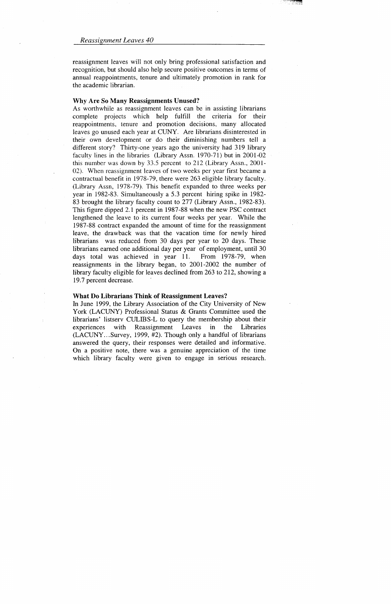reassignment leaves will not only bring professional satisfaction and recognition, but should also help secure positive outcomes in terms of annual reappointments, tenure and ultimately promotion in rank for the academic librarian.

#### Why Are So Many Reassignments Unused?

As worthwhile as reassignment leaves can be in assisting librarians complete projects which help fulfill the criteria for their reappointments, tenure and promotion decisions, many aJlocated leaves go unused each year at CUNY. Are librarians disinterested in their own development or do their diminishing numbers tell a different story? Thirty-one years ago the university had 319 library faculty lines in the libraries (Library Assn. 1970-71) but in 2001-02 this number was down by 33.5 percent to 212 (Library Assn., 2001- 02). When reassignment leaves of two weeks per year first became a contractual benefit in 1978-79, there were 263 eligible library faculty. (Library Assn, 1978-79). This benefit expanded to three weeks per year in 1982-83. Simultaneously a 5.3 percent hiring spike in 1982- 83 brought the library faculty count to 277 (Library Assn., 1982-83). This figure dipped 2.1 percent in 1987-88 when the new PSC contract lengthened the leave to its current four weeks per year. While the 1987-88 contract expanded the amount of time for the reassignment leave, the drawback was that the vacation time for newly hired librarians was reduced from 30 days per year to 20 days. These librarians earned one additional day per year of employment, until 30 days total was achieved in year 11. From 1978-79, when reassignments in the library began, to 2001-2002 the number of library faculty eligible for leaves declined from 263 to 212, showing a 19.7 percent decrease.

#### What Do Librarians Think of Reassignment Leaves?

In June 1999, the Library Association of the City University of New York (LACUNY) Professional Status & Grants Committee used the librarians' listserv CULIDS-L to query the membership about their experiences with Reassignment Leaves in the Libraries (LACUNY ... Survey, 1999, #2). Though only a handful of librarians answered the query, their responses were detailed and informative. On a positive note, there was a genuine appreciation of the time which library faculty were given to engage in serious research.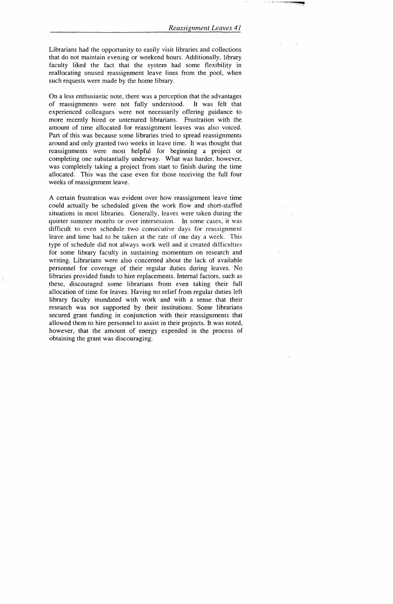Librarians had the opportunity to easily visit libraries and collections that do not maintain evening or weekend hours. Additionally, library faculty liked the fact that the system had some flexibility in reallocating unused reassignment leave lines from the pool, when such requests were made by the home library.

On a less enthusiastic note, there was a perception that the advantages of reassignments were not fully understood. It was felt that experienced colleagues were not necessarily offering guidance to more recently hired or untenured librarians. Frustration with the amount of time allocated for reassignment leaves was also voiced. Part of this was because some libraries tried to spread reassignments around and only granted two weeks in leave time. It was thought that reassignments were most helpful for beginning a project or completing one substantially underway. What was harder, however, was completely taking a project from start to finish during the time allocated. This was the case even for those receiving the full four weeks of reassignment leave.

A certain frustration was evident over how reassignment leave time could actually be scheduled given the work flow and short-staffed situations in most libraries. Generally, leaves were taken during the quieter summer months or over intersession. In some cases, it was difficult to even schedule two consecutive days for reassignment leave and time had to be taken at the rate of one day a week. This type of schedule did not always work well and it created difficulties for some library faculty in sustaining momentum on research and writing. Librarians were also concerned about the lack of available personnel for coverage of their regular duties during leaves. No libraries provided funds to hire replacements. Internal factors, such as these, discouraged some librarians from even taking their full allocation of time for leaves. Having no relief from regular duties left library faculty inundated with work and with a sense that their research was not supported by their institutions. Some librarians secured grant funding in conjunction with their reassignments that allowed them to hire personnel to assist in their projects. It was noted, however, that the amount of energy expended in the process of obtaining the grant was discouraging.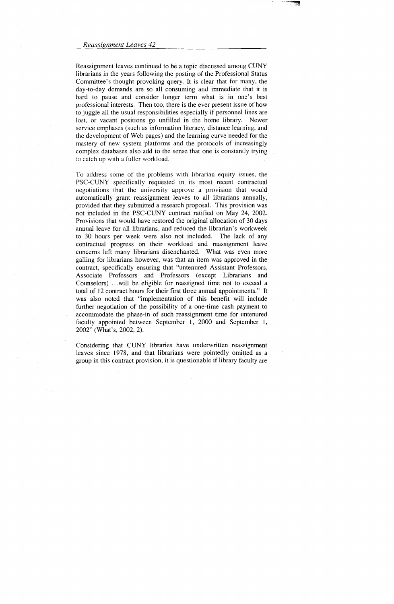Reassignment leaves continued to be a topic discussed among CUNY librarians in the years following the posting of the Professional Status Committee's thought provoking query. It is clear that for many, the day-to-day demands are so all consuming and immediate that it is hard to pause and consider longer term what is in one's best professional interests. Then too, there is the ever present issue of how to juggle all the usual responsibilities especially if personnel lines are lost, or vacant positions go unfilled in the home library. Newer service emphases (such as information literacy, distance learning, and the development of Web pages) and the learning curve needed for the mastery of new system platforms and the protocols of increasingly complex databases also add to the sense that one is constantly trying to catch up with a fuller workload.

To address some of the problems with librarian equity issues, the PSC-CUNY specifically requested in its most recent contractual negotiations that the university approve a provision that would automatically grant reassignment leaves to all librarians annually, provided that they submitted a research proposal. This provision was not included in the PSC-CUNY contract ratified on May 24, 2002. Provisions that would have restored the original allocation of 30 days annual leave for all librarians, and reduced the librarian's workweek to 30 hours per week were also not included. The lack of any contractual progress on their workload and reassignment leave concerns left many librarians disenchanted. What was even more galling for librarians however, was that an item was approved in the contract, specifically ensuring that "untenured Assistant Professors, Associate Professors and Professors (except Librarians and Counselors) ... will be eligible for reassigned time not to exceed a total of 12 contract hours for their first three annual appointments." It was also noted that "implementation of this benefit will include further negotiation of the possibility of a one-time cash payment to accommodate the phase-in of such reassignment time for untenured faculty appointed between September 1, 2000 and September 1, 2002" (What's, 2002, 2).

Considering that CUNY libraries have underwritten reassignment leaves since 1978, and that librarians were pointedly omitted as a group in this contract provision, it is questionable if library faculty are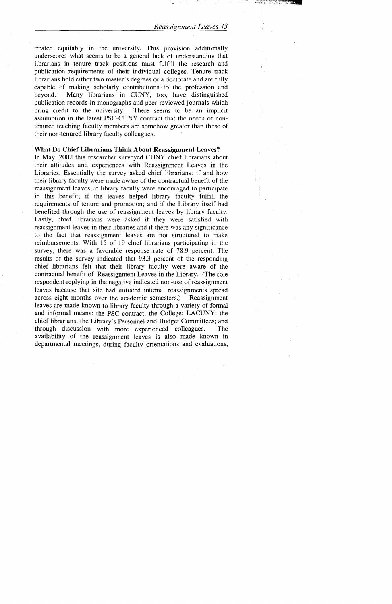treated equitably in the university. This provision additionally underscores what seems to be a general lack of understanding that librarians in tenure track positions must fulfill the research and publication requirements of their individual colleges. Tenure track librarians hold either two master's degrees or a doctorate and are fully capable of making scholarly contributions to the profession and beyond. Many librarians in CUNY, too, have distinguished publication records in monographs and peer-reviewed journals which bring credit to the university. There seems to be an implicit assumption in the latest PSC-CUNY contract that the needs of nontenured teaching faculty members are somehow greater than those of their non-tenured library faculty colleagues.

# What Do Chief Librarians Think About Reassignment Leaves?

In May, 2002 this researcher surveyed CUNY chief librarians about their attitudes and experiences with Reassignment Leaves in the Libraries. Essentially the survey asked chief librarians: if and how their library faculty were made aware of the contractual benefit of the reassignment leaves; if library faculty were encouraged to participate in this benefit; if the leaves helped library faculty fulfill the requirements of tenure and promotion; and if the Library itself had benefited through the use of reassignment leaves by library faculty. Lastly, chief librarians were asked if they were satisfied with reassignment leaves in their libraries and if there was any significance to the fact that reassignment leaves are not structured to make reimbursements. With 15 of 19 chief librarians participating in the survey, there was a favorable response rate of 78.9 percent. The results of the survey indicated that 93.3 percent of the responding chief librarians felt that their library faculty were aware of the contractual benefit of Reassignment Leaves in the Library. (The sole respondent replying in the negative indicated non-use of reassignment leaves because that site had initiated internal reassignments spread across eight months over the academic semesters.) Reassignment leaves are made known to library faculty through a variety of formal and informal means: the PSC contract; the College; LACUNY; the chief librarians; the Library's Personnel and Budget Committees; and through discussion with more experienced colleagues. The availability of the reassignment leaves is also made known in departmental meetings, during faculty orientations and evaluations,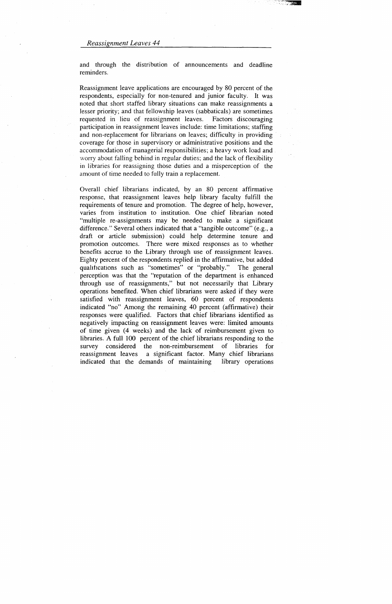and through the distribution of announcements and deadline reminders.

Reassignment leave applications are encouraged by 80 percent of the respondents, especially for non-tenured and junior faculty. It was noted that short staffed library situations can make reassignments a lesser priority; and that fellowship leaves (sabbaticals) are sometimes requested in lieu of reassignment leaves. Factors discouraging participation in reassignment leaves include: time limitations; staffing and non-replacement for librarians on leaves; difficulty in providing coverage for those in supervisory or administrative positions and the accommodation of managerial responsibilities; a heavy work load and worry about falling behind in regular duties; and the lack of flexibility in libraries for reassigning those duties and a misperception of the amount of time needed to fully train a replacement.

Overall chief librarians indicated, by an 80 percent affirmative response, that reassignment leaves help library faculty fulfill the requirements of tenure and promotion. The degree of help, however, varies from institution to institution. One chief librarian noted "multiple re-assignments may be needed to make a significant difference." Several others indicated that a "tangible outcome" (e.g., a draft or article submission) could help determine tenure and promotion outcomes. There were mixed responses as to whether benefits accrue to the Library through use of reassignment leaves. Eighty percent of the respondents replied in the affirmative, but added qualifications such as "sometimes" or "probably." The general perception was that the "reputation of the department is enhanced through use of reassignments," but not necessarily that Library operations benefited. When chief librarians were asked if they were satisfied with reassignment leaves, 60 percent of respondents indicated "no" Among the remaining 40 percent (affirmative) their responses were qualified. Factors that chief librarians identified as negatively impacting on reassignment leaves were: limited amounts of time given (4 weeks) and the lack of reimbursement given to libraries. A full 100 percent of the chief librarians responding to the survey considered the non-reimbursement of libraries for reassignment leaves a significant factor. Many chief librarians indicated that the demands of maintaining library operations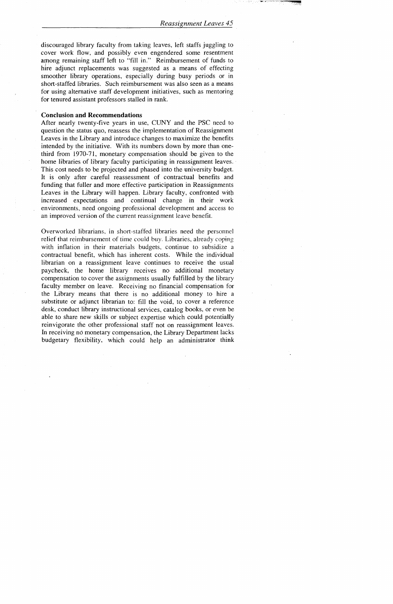discouraged library faculty from taking leaves, left staffs juggling to cover work flow, and possibly even engendered some resentment among remaining staff left to "fill in." Reimbursement of funds to hire adjunct replacements was suggested as a means of effecting smoother library operations, especially during busy periods or in short-staffed libraries. Such reimbursement was also seen as a means for using alternative staff development initiatives, such as mentoring for tenured assistant professors stalled in rank.

#### **Conclusion and Recommendations**

After nearly twenty-five years in use, CUNY and the PSC need to question the status quo, reassess the implementation of Reassignment Leaves in the Library and introduce changes to maximize the benefits intended by the initiative. With its numbers down by more than onethird from 1970-71, monetary compensation should be given to the home libraries of library faculty participating in reassignment leaves. This cost needs to be projected and phased into the university budget. It is only after careful reassessment of contractual benefits and funding that fuller and more effective participation in Reassignments Leaves in the Library will happen. Library faculty, confronted witb increased expectations and continual change in their work environments, need ongoing professional development and access to an improved version of the current reassignment leave benefit.

Overworked librarians, in short -staffed libraries need the personnel relief that reimbursement of time could buy. Libraries, already coping with inflation in their materials budgets, continue to subsidize a contractual benefit, which has inherent costs. While the individual librarian on a reassignment leave continues to receive the usual paycheck, the home library receives no additional monetary compensation to cover the assignments usually fulfilled by the library faculty member on leave. Receiving no financial compensation for the Library means that there is no additional money to hire a substitute or adjunct librarian to: fill the void, to cover a reference desk, conduct library instructional services, catalog books, or even be able to share new skills or subject expertise which could potentially reinvigorate the other professional staff not on reassignment leaves. In receiving no monetary compensation, the Library Department lacks budgetary flexibility, which could help an administrator think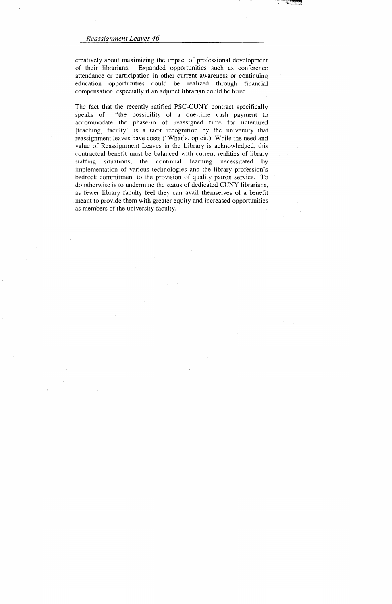creatively about maximizing the impact of professional development of their librarians. Expanded opportunities such as conference attendance or participation in other current awareness or continuing education opportunities could be realized through financial compensation, especially if an adjunct librarian could be hired.

The fact that the recently ratified PSC-CUNY contract specifically speaks of "the possibility of a one-time cash payment to accommodate the phase-in of. .. reassigned time for untenured [teaching] faculty" is a tacit recognition by the university that reassignment leaves have costs ("What's, op cit.). While the need and value of Reassignment Leaves in the Library is acknowledged, this contractual benefit must be balanced with current realities of library staffing situations, the continual learning necessitated by implementation of various technologies and the library profession's bedrock commitment to the provision of quality patron service. To do otherwise is to undermine the status of dedicated CUNY librarians, as fewer library faculty feel they can avail themselves of a benefit meant to provide them with greater equity and increased opportunities as members of the university faculty.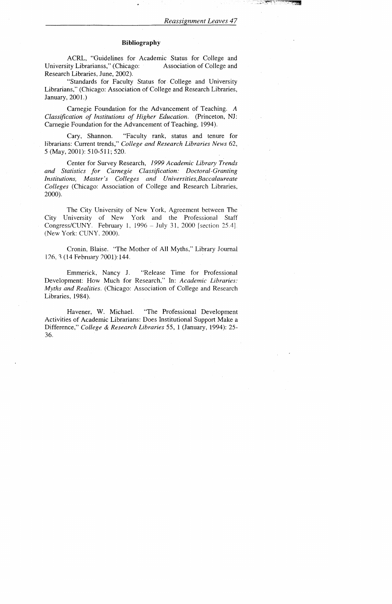# **Bibliography**

ACRL, "Guidelines for Academic Status for College and University Librarianss," (Chicago: Association of College and Research Libraries, June, 2002).

"Standards for Faculty Status for College and University Librarians," (Chicago: Association of College and Research Libraries, January, 2001.)

Cary, Shannon. "Faculty rank, status and tenure for librarians: Current trends," *College and Research Libraries News* 62, 5 (May, 2001): 510-511; 520.

Carnegie Foundation for the Advancement of Teaching. A *Classification of Institutions of Higher Education.* (Princeton, NJ: Carnegie Foundation for the Advancement of Teaching, 1994).

The City University of New York, Agreement between The City University of New York and the Professional Staff Congress/CUNY. February 1, 1996 - July 31, 2000 [section 25.4]. (New York: CUNY, 2000).

Cronin, Blaise. "The Mother of All Myths," Library Journal 126, 3 (14 February 2001): 144.

Center for Survey Research, *1999 Academic Library Trends and Statistics for Carnegie Classification: Doctoral-Granting Institutions, Master's Colleges and Universities,Baccalaureate Colleges* (Chicago: Association of College and Research Libraries, 2000).

Emmerick, Nancy J. "Release Time for Professional Development: How Much for Research," In: *Academic Libraries: Myths and Realities.* (Chicago: Association of College and Research Libraries, 1984).

Havener, W. Michael. "The Professional Development Activities of Academic Librarians: Does Institutional Support Make a Difference," *College & Research Libraries* 55, 1 (January, 1994): 25- 36.